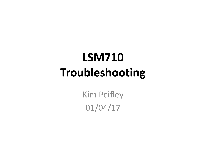# **LSM710 Troubleshooting**

Kim Peifley 01/04/17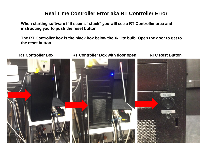### **Real Time Controller Error aka RT Controller Error**

**When starting software if it seems "stuck" you will see a RT Controller area and instructing you to push the reset button.**

**The RT Controller box is the black box below the X-Cite bulb. Open the door to get to the reset button**

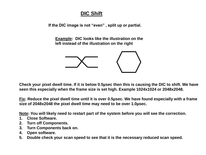## **DIC Shift**

**If the DIC image is not "even" , split up or partial.**

**Example: DIC looks like the illustration on the left instead of the illustration on the right**



**Check your pixel dwell time. If it is below 0.5µsec then this is causing the DIC to shift. We have seen this especially when the frame size is set high. Example 1024x1024 or 2048x2048.**

**Fix: Reduce the pixel dwell time until it is over 0.5µsec. We have found especially with a frame size of 2048x2048 the pixel dwell time may need to be over 1.0µsec.**

**Note: You will likely need to restart part of the system before you will see the correction.**

- **1. Close Software.**
- **2. Turn off Components.**
- **3. Turn Components back on.**
- **4. Open software.**
- **5. Double check your scan speed to see that it is the necessary reduced scan speed.**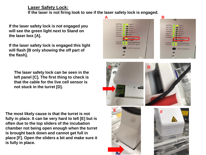#### **Laser Safety Lock:**

**If the laser is not firing look to see if the laser safety lock is engaged.**

**If the laser safety lock is not engaged you will see the green light next to Stand on the laser box [A].**

**If the laser safety lock is engaged this light will flash [B only showing the off part of the flash].**

**The laser safety lock can be seen in the left panel [C]. The first thing to check is that the cable for the live cell sensor is not stuck in the turret [D].**

**The most likely cause is that the turret is not fully in place. It can be very hard to tell [E] but is often due to the top sliders of the incubation chamber not being open enough when the turret is brought back down and cannot get full in place [F]. Open the sliders a bit and make sure it is fully in place.**

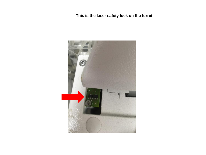**This is the laser safety lock on the turret.**

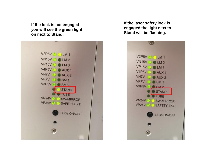**If the lock is not engaged you will see the green light on next to Stand.**



#### **If the laser safety lock is engaged the light next to Stand will be flashing.**

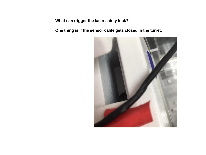**What can trigger the laser safety lock?** 

**One thing is if the sensor cable gets closed in the turret.**

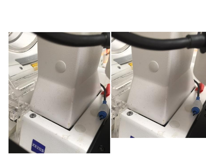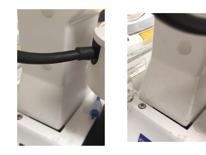

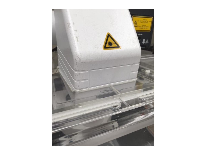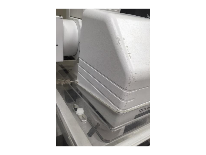